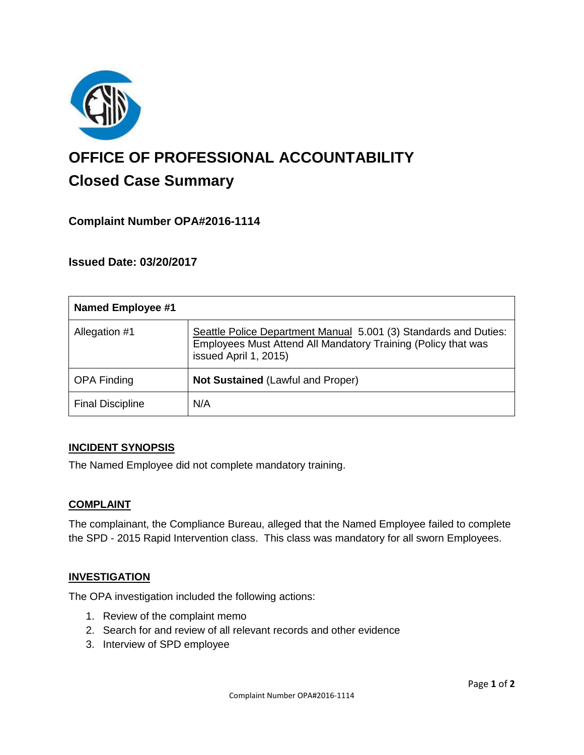

# **OFFICE OF PROFESSIONAL ACCOUNTABILITY Closed Case Summary**

## **Complaint Number OPA#2016-1114**

**Issued Date: 03/20/2017**

| <b>Named Employee #1</b> |                                                                                                                                                            |
|--------------------------|------------------------------------------------------------------------------------------------------------------------------------------------------------|
| Allegation #1            | Seattle Police Department Manual 5.001 (3) Standards and Duties:<br>Employees Must Attend All Mandatory Training (Policy that was<br>issued April 1, 2015) |
| <b>OPA Finding</b>       | Not Sustained (Lawful and Proper)                                                                                                                          |
| <b>Final Discipline</b>  | N/A                                                                                                                                                        |

#### **INCIDENT SYNOPSIS**

The Named Employee did not complete mandatory training.

#### **COMPLAINT**

The complainant, the Compliance Bureau, alleged that the Named Employee failed to complete the SPD - 2015 Rapid Intervention class. This class was mandatory for all sworn Employees.

#### **INVESTIGATION**

The OPA investigation included the following actions:

- 1. Review of the complaint memo
- 2. Search for and review of all relevant records and other evidence
- 3. Interview of SPD employee